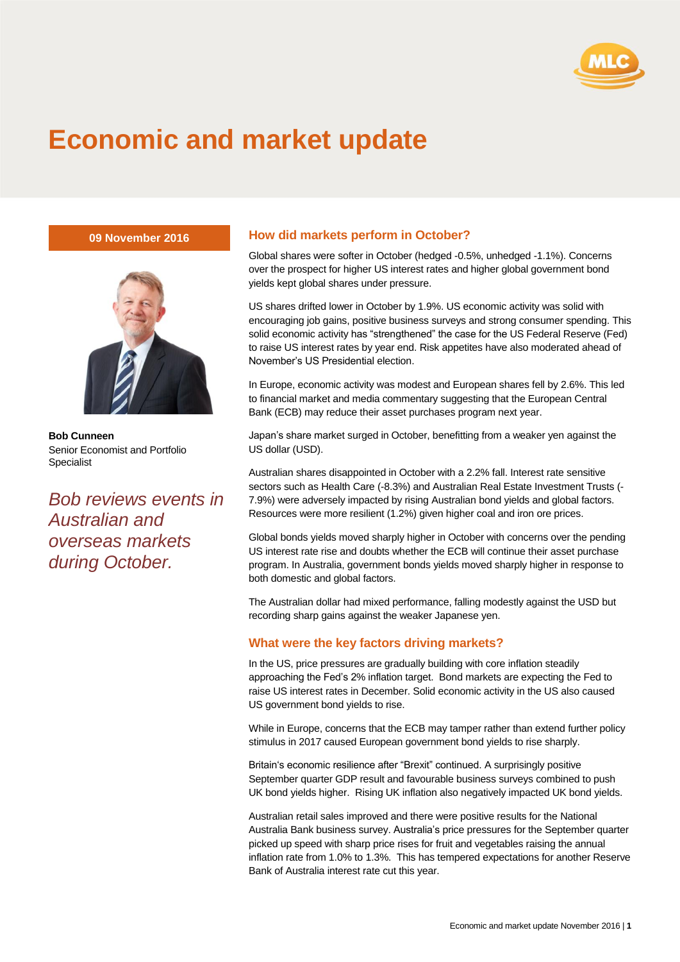

## **Economic and market update**

**09 November 2016**



**Bob Cunneen** Senior Economist and Portfolio Specialist

*Bob reviews events in Australian and overseas markets during October.*

## **How did markets perform in October?**

Global shares were softer in October (hedged -0.5%, unhedged -1.1%). Concerns over the prospect for higher US interest rates and higher global government bond yields kept global shares under pressure.

US shares drifted lower in October by 1.9%. US economic activity was solid with encouraging job gains, positive business surveys and strong consumer spending. This solid economic activity has "strengthened" the case for the US Federal Reserve (Fed) to raise US interest rates by year end. Risk appetites have also moderated ahead of November's US Presidential election.

In Europe, economic activity was modest and European shares fell by 2.6%. This led to financial market and media commentary suggesting that the European Central Bank (ECB) may reduce their asset purchases program next year.

Japan's share market surged in October, benefitting from a weaker yen against the US dollar (USD).

Australian shares disappointed in October with a 2.2% fall. Interest rate sensitive sectors such as Health Care (-8.3%) and Australian Real Estate Investment Trusts (- 7.9%) were adversely impacted by rising Australian bond yields and global factors. Resources were more resilient (1.2%) given higher coal and iron ore prices.

Global bonds yields moved sharply higher in October with concerns over the pending US interest rate rise and doubts whether the ECB will continue their asset purchase program. In Australia, government bonds yields moved sharply higher in response to both domestic and global factors.

The Australian dollar had mixed performance, falling modestly against the USD but recording sharp gains against the weaker Japanese yen.

## **What were the key factors driving markets?**

In the US, price pressures are gradually building with core inflation steadily approaching the Fed's 2% inflation target. Bond markets are expecting the Fed to raise US interest rates in December. Solid economic activity in the US also caused US government bond yields to rise.

While in Europe, concerns that the ECB may tamper rather than extend further policy stimulus in 2017 caused European government bond yields to rise sharply.

Britain's economic resilience after "Brexit" continued. A surprisingly positive September quarter GDP result and favourable business surveys combined to push UK bond yields higher. Rising UK inflation also negatively impacted UK bond yields.

Australian retail sales improved and there were positive results for the National Australia Bank business survey. Australia's price pressures for the September quarter picked up speed with sharp price rises for fruit and vegetables raising the annual inflation rate from 1.0% to 1.3%. This has tempered expectations for another Reserve Bank of Australia interest rate cut this year.